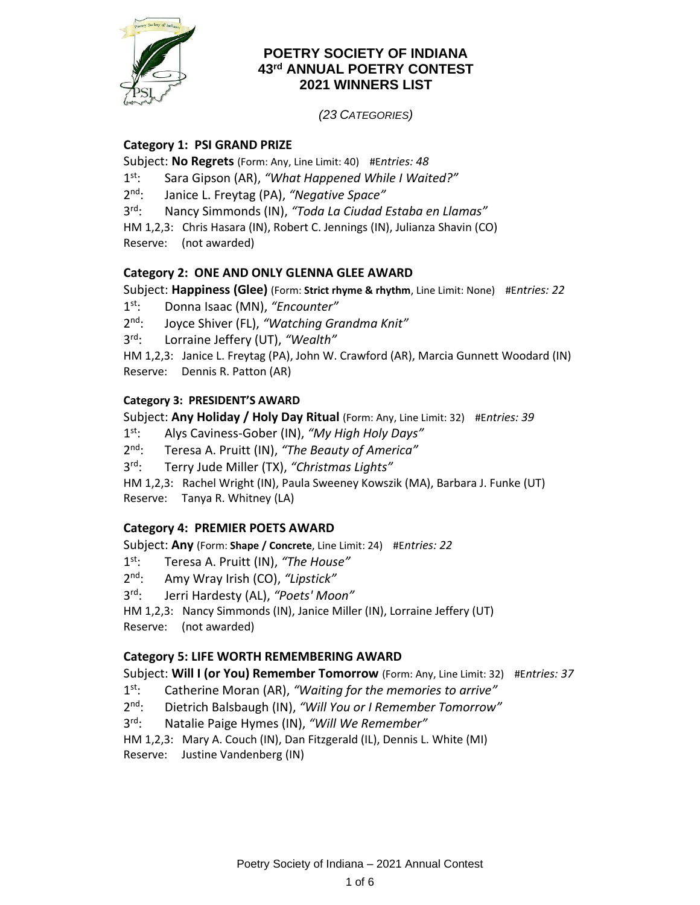

## **POETRY SOCIETY OF INDIANA 43rd ANNUAL POETRY CONTEST 2021 WINNERS LIST**

*(23 CATEGORIES)*

## **Category 1: PSI GRAND PRIZE**

Subject: **No Regrets** (Form: Any, Line Limit: 40) #E*ntries: 48*

- $1^{\text{st}}$ : Sara Gipson (AR), "What Happened While I Waited?"
- $2^{nd}$ : Janice L. Freytag (PA), "*Negative Space*"

 $3^{\text{rd}}$ : rd: Nancy Simmonds (IN), *"Toda La Ciudad Estaba en Llamas"*

HM 1,2,3: Chris Hasara (IN), Robert C. Jennings (IN), Julianza Shavin (CO) Reserve: (not awarded)

# **Category 2: ONE AND ONLY GLENNA GLEE AWARD**

Subject: **Happiness (Glee)** (Form: **Strict rhyme & rhythm**, Line Limit: None) #E*ntries: 22*

- $1^{\text{st}}$ : st: Donna Isaac (MN), *"Encounter"*
- $2^{\text{nd}}$ . nd: Joyce Shiver (FL), *"Watching Grandma Knit"*

 $3^{\text{rd}}$ : Lorraine Jeffery (UT), "Wealth"

HM 1,2,3: Janice L. Freytag (PA), John W. Crawford (AR), Marcia Gunnett Woodard (IN) Reserve: Dennis R. Patton (AR)

#### **Category 3: PRESIDENT'S AWARD**

Subject: **Any Holiday / Holy Day Ritual** (Form: Any, Line Limit: 32) #E*ntries: 39*

 $1^{\text{st}}$ : st: Alys Caviness-Gober (IN), *"My High Holy Days"*

- $2^{\text{nd}}$ . Teresa A. Pruitt (IN), "The Beauty of America"
- $3^{\text{rd}}$ . Terry Jude Miller (TX), "Christmas Liahts"

HM 1,2,3: Rachel Wright (IN), Paula Sweeney Kowszik (MA), Barbara J. Funke (UT) Reserve: Tanya R. Whitney (LA)

#### **Category 4: PREMIER POETS AWARD**

Subject: **Any** (Form: **Shape / Concrete**, Line Limit: 24) #E*ntries: 22*

- $1^{\text{st}}$ : st: Teresa A. Pruitt (IN), *"The House"*
- $2^{\text{nd}}$ . nd: Amy Wray Irish (CO), *"Lipstick"*
- $3^{\text{rd}}$ : rd: Jerri Hardesty (AL), *"Poets' Moon"*

HM 1,2,3: Nancy Simmonds (IN), Janice Miller (IN), Lorraine Jeffery (UT)

Reserve: (not awarded)

#### **Category 5: LIFE WORTH REMEMBERING AWARD**

Subject: **Will I (or You) Remember Tomorrow** (Form: Any, Line Limit: 32) #E*ntries: 37*

- $1^{st}$ Catherine Moran (AR), "Waiting for the memories to arrive"
- $2nd.$ Dietrich Balsbaugh (IN), "Will You or I Remember Tomorrow"
- $3^{\text{rd}}$ : Natalie Paige Hymes (IN), "Will We Remember"
- HM 1,2,3: Mary A. Couch (IN), Dan Fitzgerald (IL), Dennis L. White (MI)
- Reserve: Justine Vandenberg (IN)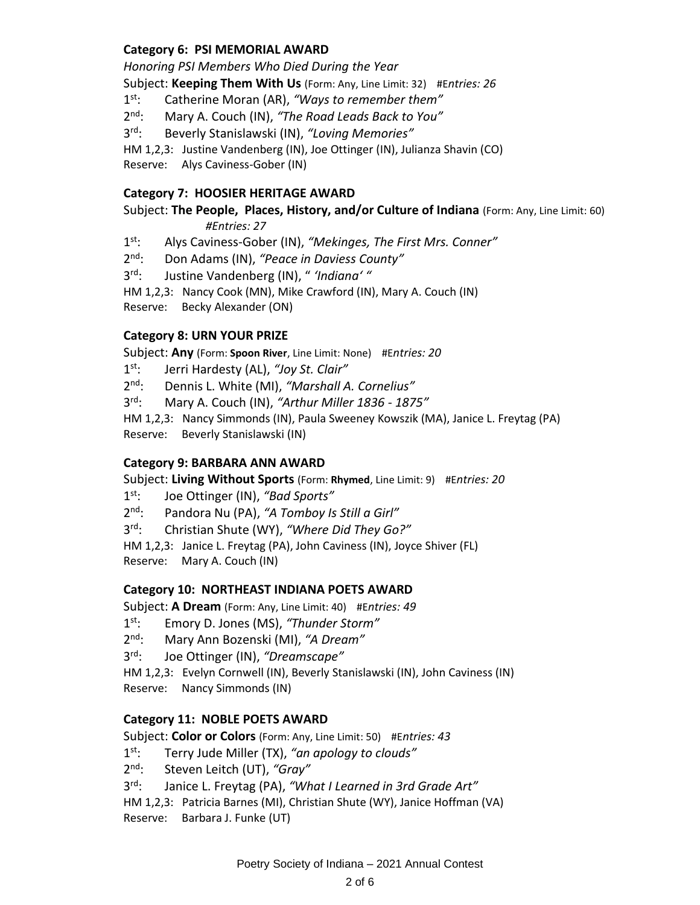## **Category 6: PSI MEMORIAL AWARD**

*Honoring PSI Members Who Died During the Year* Subject: **Keeping Them With Us** (Form: Any, Line Limit: 32) #E*ntries: 26*

 $1^{\text{st}}$ : Catherine Moran (AR), "Ways to remember them"

 $2^{\text{nd}}$ . nd: Mary A. Couch (IN), *"The Road Leads Back to You"*

 $3^{\text{rd}}$ : Beverly Stanislawski (IN), "Loving Memories"

HM 1,2,3: Justine Vandenberg (IN), Joe Ottinger (IN), Julianza Shavin (CO)

Reserve: Alys Caviness-Gober (IN)

#### **Category 7: HOOSIER HERITAGE AWARD**

Subject: **The People, Places, History, and/or Culture of Indiana** (Form: Any, Line Limit: 60) *#Entries: 27*

 $1^{st}$ : st: Alys Caviness-Gober (IN), *"Mekinges, The First Mrs. Conner"*

 $2^{nd}$ : Don Adams (IN), "Peace in Daviess County"

 $3^{\text{rd}}$ : Justine Vandenberg (IN), " 'Indiana' "

HM 1,2,3: Nancy Cook (MN), Mike Crawford (IN), Mary A. Couch (IN)

Reserve: Becky Alexander (ON)

#### **Category 8: URN YOUR PRIZE**

Subject: **Any** (Form: **Spoon River**, Line Limit: None) #E*ntries: 20*

 $1<sup>st</sup>$ : st: Jerri Hardesty (AL), *"Joy St. Clair"*

 $2<sup>nd</sup>$ . Dennis L. White (MI), "Marshall A. Cornelius"

 $3^{\text{rd}}$ : rd: Mary A. Couch (IN), *"Arthur Miller 1836 - 1875"*

HM 1,2,3: Nancy Simmonds (IN), Paula Sweeney Kowszik (MA), Janice L. Freytag (PA)

Reserve: Beverly Stanislawski (IN)

#### **Category 9: BARBARA ANN AWARD**

Subject: **Living Without Sports** (Form: **Rhymed**, Line Limit: 9) #E*ntries: 20*

 $1<sup>st</sup>$ : st: Joe Ottinger (IN), *"Bad Sports"*

 $2^{nd}$ : Pandora Nu (PA), "A Tomboy Is Still a Girl"

 $3^{\text{rd}}$ : Christian Shute (WY), "Where Did They Go?"

HM 1,2,3: Janice L. Freytag (PA), John Caviness (IN), Joyce Shiver (FL) Reserve: Mary A. Couch (IN)

#### **Category 10: NORTHEAST INDIANA POETS AWARD**

Subject: **A Dream** (Form: Any, Line Limit: 40) #E*ntries: 49*

- $1^{\text{st}}$ : Emory D. Jones (MS), "Thunder Storm"
- $2^{\text{nd}}$ : nd: Mary Ann Bozenski (MI), *"A Dream"*

 $3^{\text{rd}}$ . rd: Joe Ottinger (IN), *"Dreamscape"*

HM 1,2,3: Evelyn Cornwell (IN), Beverly Stanislawski (IN), John Caviness (IN) Reserve: Nancy Simmonds (IN)

#### **Category 11: NOBLE POETS AWARD**

Subject: **Color or Colors** (Form: Any, Line Limit: 50) #E*ntries: 43*

- $1^{\text{st}}$ : st: Terry Jude Miller (TX), *"an apology to clouds"*
- $2<sup>nd</sup>$ : nd: Steven Leitch (UT), *"Gray"*
- $3^{\text{rd}}$ : Janice L. Freytag (PA), "What I Learned in 3rd Grade Art"

HM 1,2,3: Patricia Barnes (MI), Christian Shute (WY), Janice Hoffman (VA)

Reserve: Barbara J. Funke (UT)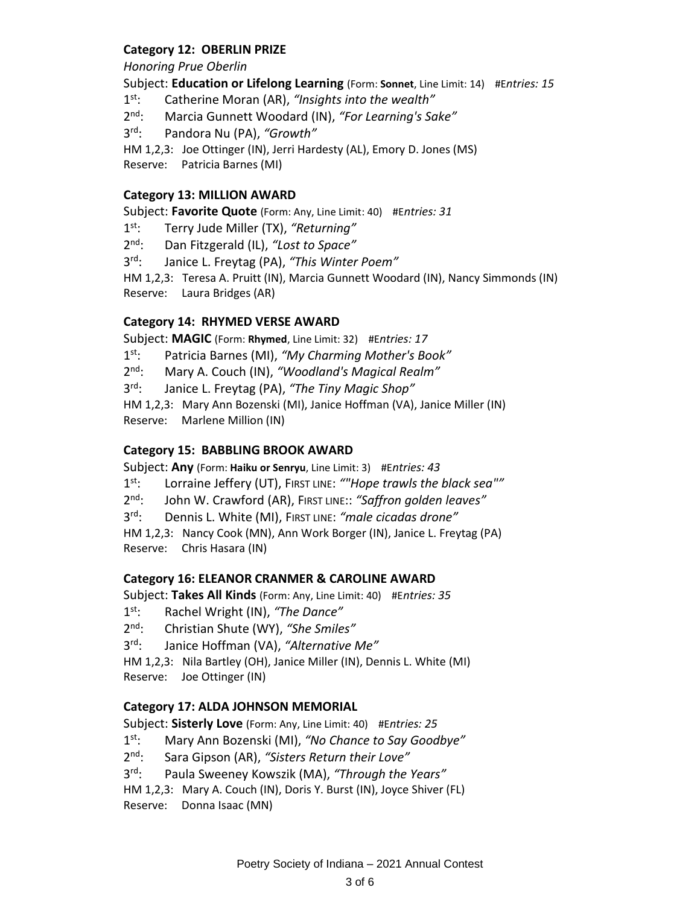## **Category 12: OBERLIN PRIZE**

*Honoring Prue Oberlin*

Subject: **Education or Lifelong Learning** (Form: **Sonnet**, Line Limit: 14) #E*ntries: 15*

 $1^{\text{st}}$ : Catherine Moran (AR), "Insights into the wealth"

 $2^{\text{nd}}$ . Marcia Gunnett Woodard (IN), "For Learning's Sake"

 $3^{\text{rd}}$ : Pandora Nu (PA), "Growth"

HM 1,2,3: Joe Ottinger (IN), Jerri Hardesty (AL), Emory D. Jones (MS)

Reserve: Patricia Barnes (MI)

### **Category 13: MILLION AWARD**

Subject: **Favorite Quote** (Form: Any, Line Limit: 40) #E*ntries: 31*

 $1<sup>st</sup>$ : st: Terry Jude Miller (TX), *"Returning"*

 $2<sup>nd</sup>$ : Dan Fitzgerald (IL), "Lost to Space"

 $3^{\text{rd}}$ : *Janice L. Freytag (PA), "This Winter Poem"* 

HM 1,2,3: Teresa A. Pruitt (IN), Marcia Gunnett Woodard (IN), Nancy Simmonds (IN) Reserve: Laura Bridges (AR)

### **Category 14: RHYMED VERSE AWARD**

Subject: **MAGIC** (Form: **Rhymed**, Line Limit: 32) #E*ntries: 17*

 $1<sup>st</sup>$ : Patricia Barnes (MI), "My Charming Mother's Book"

 $2^{\text{nd}}$ . nd: Mary A. Couch (IN), *"Woodland's Magical Realm"*

 $3^{\text{rd}}$ . Janice L. Freytag (PA), "The Tiny Magic Shop"

HM 1,2,3: Mary Ann Bozenski (MI), Janice Hoffman (VA), Janice Miller (IN) Reserve: Marlene Million (IN)

### **Category 15: BABBLING BROOK AWARD**

Subject: **Any** (Form: **Haiku or Senryu**, Line Limit: 3) #E*ntries: 43*

 $1<sup>st</sup>$ : st: Lorraine Jeffery (UT), FIRST LINE: *""Hope trawls the black sea""*

 $2<sup>nd</sup>$ : John W. Crawford (AR), FIRST LINE:: "Saffron golden leaves"

 $3^{\text{rd}}$ : rd: Dennis L. White (MI), FIRST LINE: *"male cicadas drone"*

HM 1,2,3: Nancy Cook (MN), Ann Work Borger (IN), Janice L. Freytag (PA) Reserve: Chris Hasara (IN)

## **Category 16: ELEANOR CRANMER & CAROLINE AWARD**

Subject: **Takes All Kinds** (Form: Any, Line Limit: 40) #E*ntries: 35*

 $1^{st}$ Rachel Wright (IN), "The Dance"

 $2^{nd}$ . nd: Christian Shute (WY), *"She Smiles"*

 $3^{\text{rd}}$ : Janice Hoffman (VA), "Alternative Me"

HM 1,2,3: Nila Bartley (OH), Janice Miller (IN), Dennis L. White (MI) Reserve: Joe Ottinger (IN)

## **Category 17: ALDA JOHNSON MEMORIAL**

Subject: **Sisterly Love** (Form: Any, Line Limit: 40) #E*ntries: 25*

 $1^{\text{st}}$ : st: Mary Ann Bozenski (MI), *"No Chance to Say Goodbye"*

 $2^{\text{nd}}$ . Sara Gipson (AR), "Sisters Return their Love"

 $3^{\text{rd}}$ : Paula Sweeney Kowszik (MA), "Through the Years"

HM 1,2,3: Mary A. Couch (IN), Doris Y. Burst (IN), Joyce Shiver (FL)

Reserve: Donna Isaac (MN)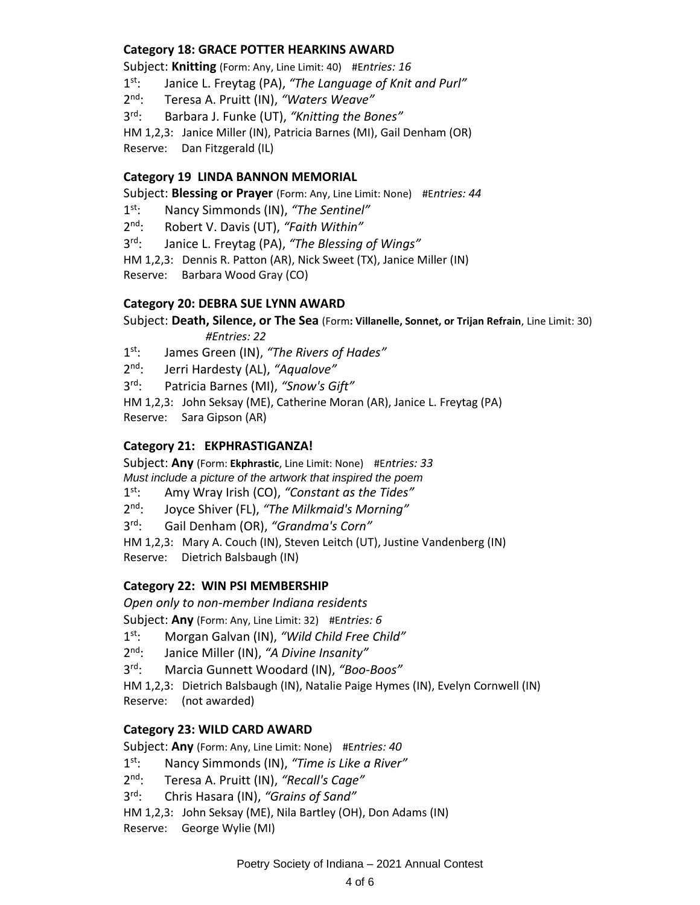## **Category 18: GRACE POTTER HEARKINS AWARD**

Subject: **Knitting** (Form: Any, Line Limit: 40) #E*ntries: 16*

 $1^{\text{st}}$ : Janice L. Freytag (PA), "The Language of Knit and Purl"

 $2^{\text{nd}}$ : nd: Teresa A. Pruitt (IN), *"Waters Weave"*

 $3^{\text{rd}}$ . Barbara J. Funke (UT), "*Knitting the Bones"* 

HM 1,2,3: Janice Miller (IN), Patricia Barnes (MI), Gail Denham (OR) Reserve: Dan Fitzgerald (IL)

#### **Category 19 LINDA BANNON MEMORIAL**

Subject: **Blessing or Prayer** (Form: Any, Line Limit: None) #E*ntries: 44*

 $1^{\text{st}}$ : st: Nancy Simmonds (IN), *"The Sentinel"*

 $2^{nd}$ . Robert V. Davis (UT), "Faith Within"

 $3^{\text{rd}}$ : Janice L. Freytag (PA), "The Blessing of Wings"

HM 1,2,3: Dennis R. Patton (AR), Nick Sweet (TX), Janice Miller (IN)

Reserve: Barbara Wood Gray (CO)

### **Category 20: DEBRA SUE LYNN AWARD**

Subject: **Death, Silence, or The Sea** (Form**: Villanelle, Sonnet, or Trijan Refrain**, Line Limit: 30) *#Entries: 22*

 $1^{st}$ : James Green (IN), "The Rivers of Hades"

 $2<sup>nd</sup>$ : nd: Jerri Hardesty (AL), *"Aqualove"*

 $3^{\text{rd}}$ : Patricia Barnes (MI), "Snow's Gift"

HM 1,2,3: John Seksay (ME), Catherine Moran (AR), Janice L. Freytag (PA) Reserve: Sara Gipson (AR)

#### **Category 21: EKPHRASTIGANZA!**

Subject: **Any** (Form: **Ekphrastic**, Line Limit: None) #E*ntries: 33 Must include a picture of the artwork that inspired the poem*

 $1^{\text{st}}$ : st: Amy Wray Irish (CO), *"Constant as the Tides"*

 $2^{nd}$ : nd: Joyce Shiver (FL), *"The Milkmaid's Morning"*

 $3^{\text{rd}}$ : rd: Gail Denham (OR), *"Grandma's Corn"*

HM 1,2,3: Mary A. Couch (IN), Steven Leitch (UT), Justine Vandenberg (IN) Reserve: Dietrich Balsbaugh (IN)

#### **Category 22: WIN PSI MEMBERSHIP**

*Open only to non-member Indiana residents*

Subject: **Any** (Form: Any, Line Limit: 32) #E*ntries: 6*

 $1<sup>st</sup>$ : st: Morgan Galvan (IN), *"Wild Child Free Child"*

 $2<sup>nd</sup>$ : Janice Miller (IN), "A Divine Insanity"

 $3^{\text{rd}}$ : Marcia Gunnett Woodard (IN), "Boo-Boos"

HM 1,2,3: Dietrich Balsbaugh (IN), Natalie Paige Hymes (IN), Evelyn Cornwell (IN) Reserve: (not awarded)

#### **Category 23: WILD CARD AWARD**

Subject: **Any** (Form: Any, Line Limit: None) #E*ntries: 40*

 $1^{\text{st}}$ : st: Nancy Simmonds (IN), *"Time is Like a River"*

 $2<sub>nd</sub>$ . nd: Teresa A. Pruitt (IN), *"Recall's Cage"*

 $3^{\text{rd}}$ : rd: Chris Hasara (IN), *"Grains of Sand"*

HM 1,2,3: John Seksay (ME), Nila Bartley (OH), Don Adams (IN)

Reserve: George Wylie (MI)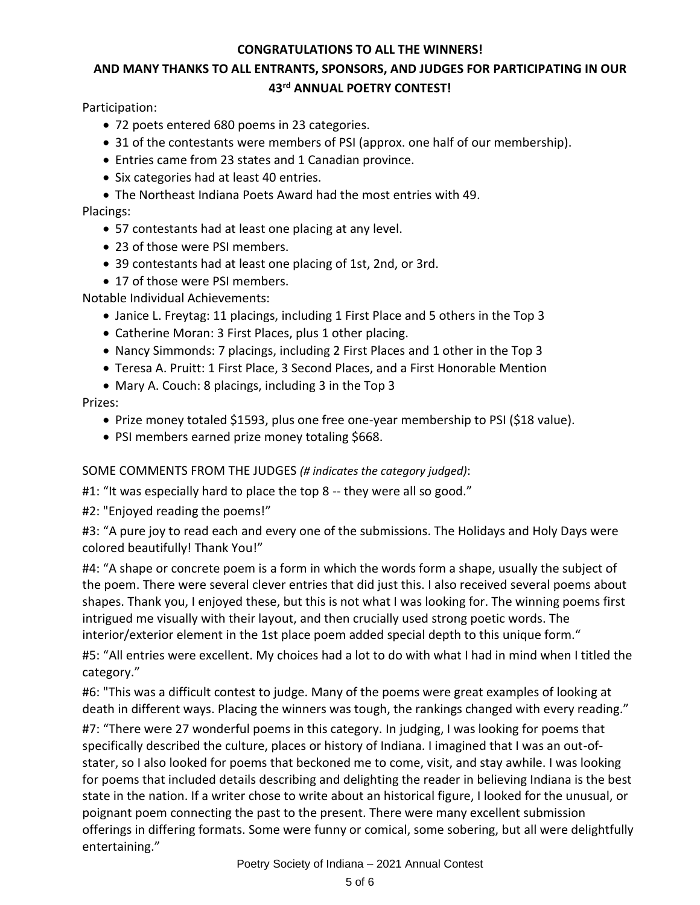## **CONGRATULATIONS TO ALL THE WINNERS!**

# **AND MANY THANKS TO ALL ENTRANTS, SPONSORS, AND JUDGES FOR PARTICIPATING IN OUR 43 rd ANNUAL POETRY CONTEST!**

Participation:

- 72 poets entered 680 poems in 23 categories.
- 31 of the contestants were members of PSI (approx. one half of our membership).
- Entries came from 23 states and 1 Canadian province.
- Six categories had at least 40 entries.
- The Northeast Indiana Poets Award had the most entries with 49.

## Placings:

- 57 contestants had at least one placing at any level.
- 23 of those were PSI members.
- 39 contestants had at least one placing of 1st, 2nd, or 3rd.
- 17 of those were PSI members.

Notable Individual Achievements:

- Janice L. Freytag: 11 placings, including 1 First Place and 5 others in the Top 3
- Catherine Moran: 3 First Places, plus 1 other placing.
- Nancy Simmonds: 7 placings, including 2 First Places and 1 other in the Top 3
- Teresa A. Pruitt: 1 First Place, 3 Second Places, and a First Honorable Mention
- Mary A. Couch: 8 placings, including 3 in the Top 3

## Prizes:

- Prize money totaled \$1593, plus one free one-year membership to PSI (\$18 value).
- PSI members earned prize money totaling \$668.

## SOME COMMENTS FROM THE JUDGES *(# indicates the category judged)*:

#1: "It was especially hard to place the top 8 -- they were all so good."

#2: "Enjoyed reading the poems!"

#3: "A pure joy to read each and every one of the submissions. The Holidays and Holy Days were colored beautifully! Thank You!"

#4: "A shape or concrete poem is a form in which the words form a shape, usually the subject of the poem. There were several clever entries that did just this. I also received several poems about shapes. Thank you, I enjoyed these, but this is not what I was looking for. The winning poems first intrigued me visually with their layout, and then crucially used strong poetic words. The interior/exterior element in the 1st place poem added special depth to this unique form."

#5: "All entries were excellent. My choices had a lot to do with what I had in mind when I titled the category."

#6: "This was a difficult contest to judge. Many of the poems were great examples of looking at death in different ways. Placing the winners was tough, the rankings changed with every reading."

#7: "There were 27 wonderful poems in this category. In judging, I was looking for poems that specifically described the culture, places or history of Indiana. I imagined that I was an out-ofstater, so I also looked for poems that beckoned me to come, visit, and stay awhile. I was looking for poems that included details describing and delighting the reader in believing Indiana is the best state in the nation. If a writer chose to write about an historical figure, I looked for the unusual, or poignant poem connecting the past to the present. There were many excellent submission offerings in differing formats. Some were funny or comical, some sobering, but all were delightfully entertaining."